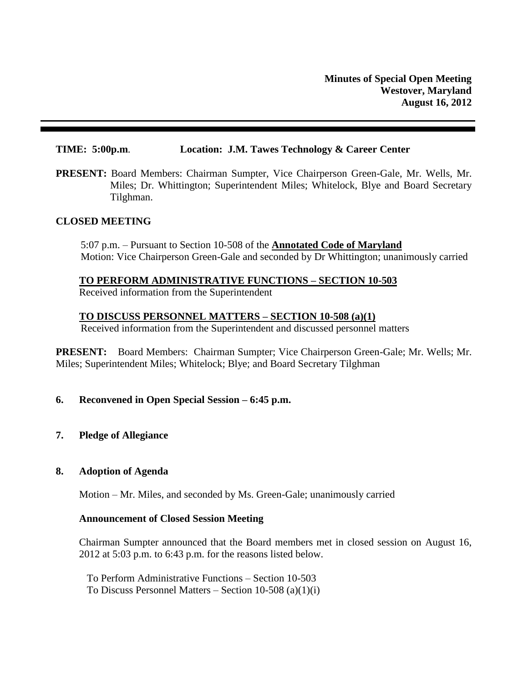## **TIME: 5:00p.m**. **Location: J.M. Tawes Technology & Career Center**

**PRESENT:** Board Members: Chairman Sumpter, Vice Chairperson Green-Gale, Mr. Wells, Mr. Miles; Dr. Whittington; Superintendent Miles; Whitelock, Blye and Board Secretary Tilghman.

### **CLOSED MEETING**

5:07 p.m. – Pursuant to Section 10-508 of the **Annotated Code of Maryland** Motion: Vice Chairperson Green-Gale and seconded by Dr Whittington; unanimously carried

### **TO PERFORM ADMINISTRATIVE FUNCTIONS – SECTION 10-503**

Received information from the Superintendent

### **TO DISCUSS PERSONNEL MATTERS – SECTION 10-508 (a)(1)**

Received information from the Superintendent and discussed personnel matters

**PRESENT:** Board Members: Chairman Sumpter; Vice Chairperson Green-Gale; Mr. Wells; Mr. Miles; Superintendent Miles; Whitelock; Blye; and Board Secretary Tilghman

# **6. Reconvened in Open Special Session – 6:45 p.m.**

**7. Pledge of Allegiance**

# **8. Adoption of Agenda**

Motion – Mr. Miles, and seconded by Ms. Green-Gale; unanimously carried

#### **Announcement of Closed Session Meeting**

Chairman Sumpter announced that the Board members met in closed session on August 16, 2012 at 5:03 p.m. to 6:43 p.m. for the reasons listed below.

To Perform Administrative Functions – Section 10-503 To Discuss Personnel Matters – Section 10-508 (a)(1)(i)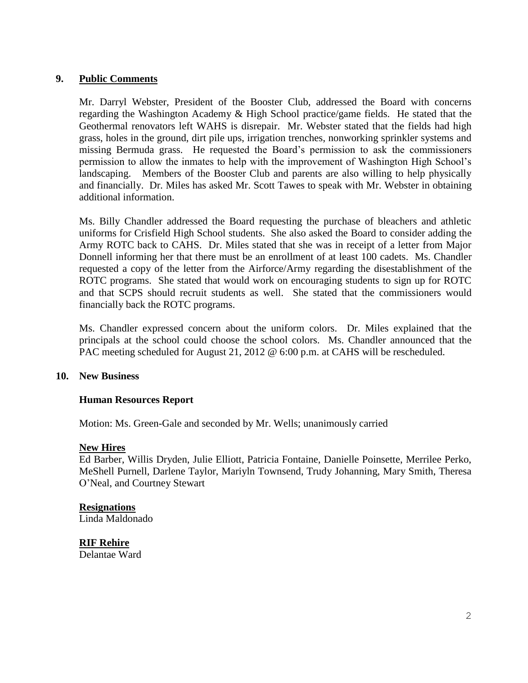# **9. Public Comments**

Mr. Darryl Webster, President of the Booster Club, addressed the Board with concerns regarding the Washington Academy & High School practice/game fields. He stated that the Geothermal renovators left WAHS is disrepair. Mr. Webster stated that the fields had high grass, holes in the ground, dirt pile ups, irrigation trenches, nonworking sprinkler systems and missing Bermuda grass. He requested the Board's permission to ask the commissioners permission to allow the inmates to help with the improvement of Washington High School's landscaping. Members of the Booster Club and parents are also willing to help physically and financially. Dr. Miles has asked Mr. Scott Tawes to speak with Mr. Webster in obtaining additional information.

Ms. Billy Chandler addressed the Board requesting the purchase of bleachers and athletic uniforms for Crisfield High School students. She also asked the Board to consider adding the Army ROTC back to CAHS. Dr. Miles stated that she was in receipt of a letter from Major Donnell informing her that there must be an enrollment of at least 100 cadets. Ms. Chandler requested a copy of the letter from the Airforce/Army regarding the disestablishment of the ROTC programs. She stated that would work on encouraging students to sign up for ROTC and that SCPS should recruit students as well. She stated that the commissioners would financially back the ROTC programs.

Ms. Chandler expressed concern about the uniform colors. Dr. Miles explained that the principals at the school could choose the school colors. Ms. Chandler announced that the PAC meeting scheduled for August 21, 2012 @ 6:00 p.m. at CAHS will be rescheduled.

# **10. New Business**

# **Human Resources Report**

Motion: Ms. Green-Gale and seconded by Mr. Wells; unanimously carried

#### **New Hires**

Ed Barber, Willis Dryden, Julie Elliott, Patricia Fontaine, Danielle Poinsette, Merrilee Perko, MeShell Purnell, Darlene Taylor, Mariyln Townsend, Trudy Johanning, Mary Smith, Theresa O'Neal, and Courtney Stewart

**Resignations** Linda Maldonado

**RIF Rehire** Delantae Ward